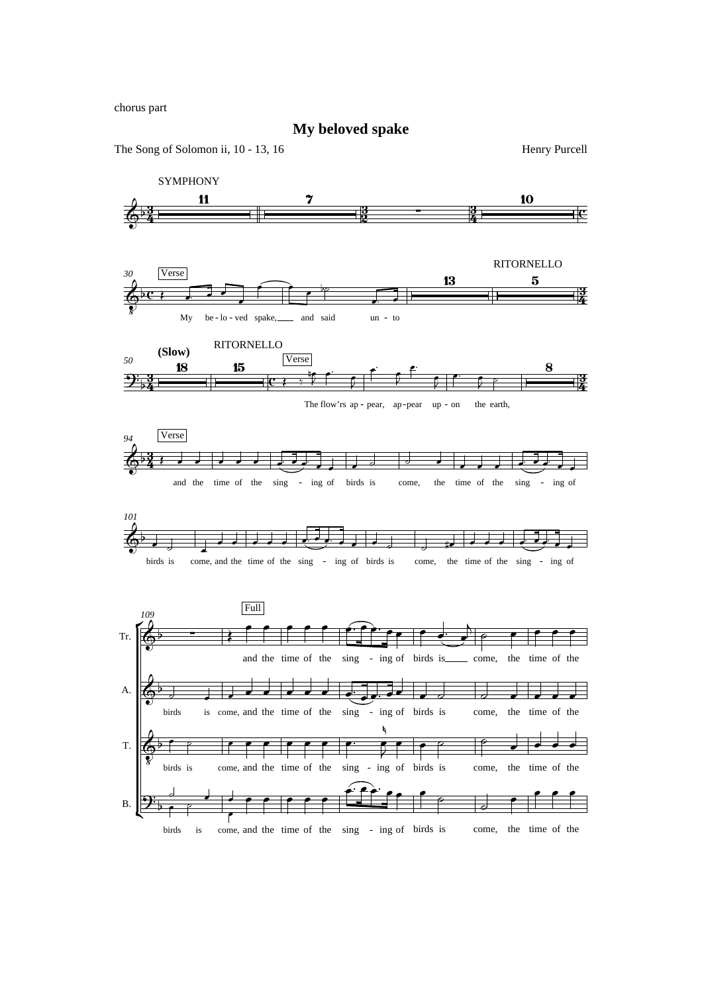chorus part

**My beloved spake**

The Song of Solomon ii, 10 - 13, 16 Henry Purcell

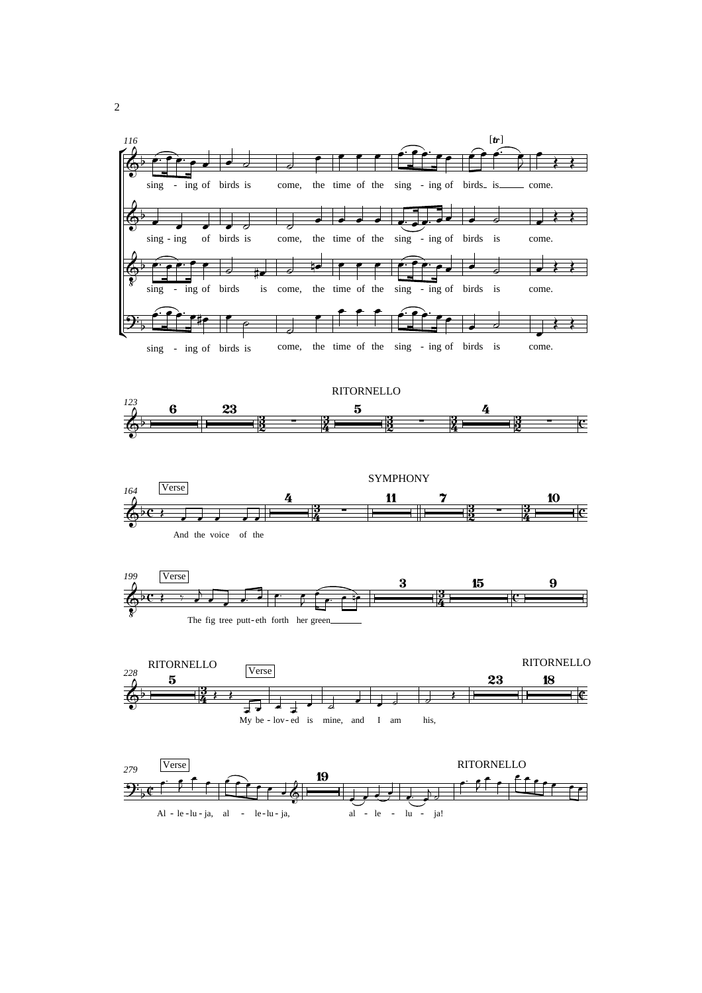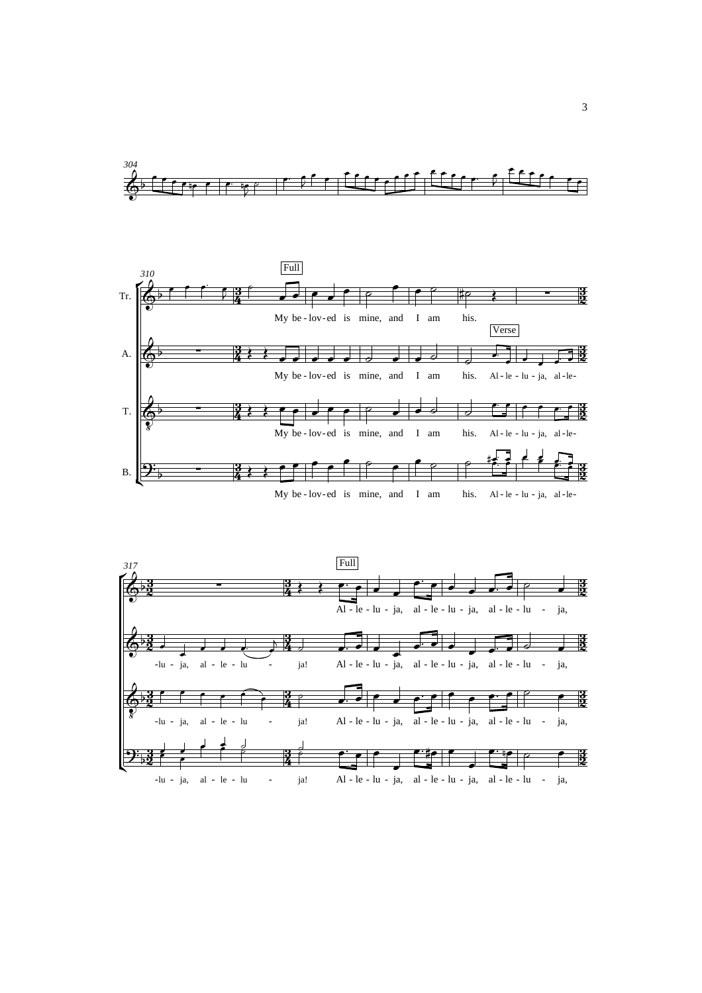





3